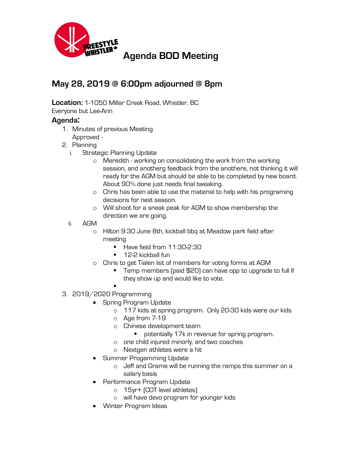

## **May 28, 2019 @ 6:00pm adjourned @ 8pm**

**Location:** 1-1050 Millar Creek Road, Whistler, BC

Everyone but Lee-Ann

## **Agenda:**

- 1. Minutes of previous Meeting Approved -
- 
- 2. Planning
	- i. Strategic Planning Update
		- o Meredith working on consolidating the work from the working session, and anotherg feedback from the anothere, not thinking it will ready for the AGM but should be able to be completed by new board. About 90% done just needs final tweaking.
		- o Chris has been able to use the material to help with his programing decisions for next season.
		- o Will shoot for a sneak peak for AGM to show membership the direction we are going.
	- ii. AGM
		- o Hilton 9:30 June 8th, kickball bbq at Meadow park field after meeting
			- Have field from 11:30-2:30
			- 12-2 kickball fun
		- o Chris to get Tialen list of members for voting forms at AGM
			- Temp members (paid \$20) can have opp to upgrade to full If they show up and would like to vote.
- § 3. 2019/2020 Programming
	- Spring Program Update
		- o 117 kids at spring program. Only 20-30 kids were our kids
		- o Age from 7-19
		- o Chinese development team
			- potentially 17k in revenue for spring program.
		- o one child injured minorly, and two coaches
		- o Nextgen athletes were a hit
	- Summer Progamming Update
		- o Jeff and Grame will be running the ramps this summer on a salary basis
	- Performance Program Update
		- o 15yr+ (COT level athletes)
		- o will have devo program for younger kids
	- Winter Program Ideas